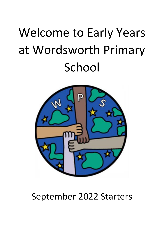# Welcome to Early Years at Wordsworth Primary School



# September 2022 Starters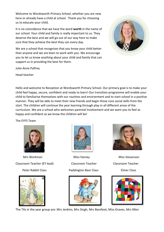Welcome to Wordsworth Primary School, whether you are new here or already have a child at school. Thank you for choosing us to educate your child.

It is no coincidence that we have the word **worth** in the name of our school. Your child and family is really important to us. They deserve the best and we will go out of our way here to make sure that they achieve the best they can every day.

We are a school that recognises that you know your child better than anyone and we are keen to work with you. We encourage you to let us know anything about your child and family that can support us in providing the best for them.



Julie-Anne Palfrey

Head teacher

Hello and welcome to Reception at Wordsworth Primary School. Our primary goal is to make your child feel happy, secure, confident and ready to learn! Our transition programme will enable your child to familiarise themselves with our routines and environment and to start school in a positive manner. They will be able to meet their new friends and begin those core social skills from the start. The children will continue the year learning through play in all different areas of the curriculum. We are a school who welcomes parental involvement and we want you to feel as happy and confident as we know the children will be!

The EYFS Team



 Mrs Workman Miss Harvey Miss Stevenson Classroom Teacher (EY lead) Classroom Teacher Classroom Teacher Peter Rabbit Class **Paddington Bear Class** Elmer Class











The TAs in the year group are: Mrs Jenkins, Mrs Singh, Mrs Barefoot, Miss Graves, Mrs Allen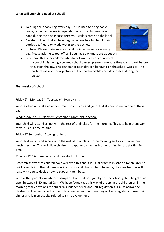- To bring their book bag every day. This is used to bring books home, letters and some independent work the children have done during the day. Please write your child's name on the label.
- A water bottle: children have regular access to a tap to fill their bottles up. Please only add water to the bottles.
- Uniform: Please make sure your child is in active uniform every day. Please ask the school office if you have any questions about this.
- Lunchbox: this is for children who do not want a free school meal.
	- If your child is having a cooked school dinner, please make sure they want to eat before they start the day. The dinners for each day can be found on the school website. The teachers will also show pictures of the food available each day in class during the register.

#### **First weeks of school**

#### Friday  $2^{nd}$ , Monday 5<sup>th</sup>, Tuesday  $6^{th}$ : Home visits.

Your teacher will make an appointment to visit you and your child at your home on one of these days.

#### Wednesday 7<sup>th</sup>, Thursday 8<sup>th</sup> September: Mornings in school

Your child will attend school with the rest of their class for the morning. This is to help them work towards a full time routine.

#### Friday 9th September: Staying for lunch

Your child will attend school with the rest of their class for the morning and stay to have their lunch in school. This will allow children to experience the lunch time routine before starting full time.

#### Monday 12<sup>th</sup> September: All children start full time

Research shows that children cope well with this and it is usual practice in schools for children to quickly settle into the full time routine. If your child finds it hard to settle, the class teacher will liaise with you to decide how to support them best.

We ask that parents, or whoever drops off the child, say goodbye at the school gate. The gates are open between 8:40 and 8:50am. We have found that this way of dropping the children off in the morning really develops the children's independence and self-regulation skills. On arrival the children will be welcomed by their class teacher and TA, then they will self-register, choose their dinner and join an activity related to skill development.

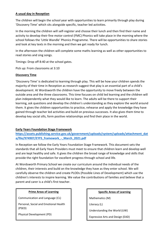#### **A usual day in Reception**

The children will begin the school year with opportunities to learn primarily through play during 'Discovery Time' which sits alongside specific, teacher led activities.

In the morning the children will self-register and choose their lunch and then find their name and activity to develop their fine motor control (FMC) Phonics will take place in the morning where the school follows the 'Little Wandle' Phonics Programme. There will be opportunities to share stories and look at key texts in the morning and then we get ready for lunch.

In the afternoon the children will complete some maths learning as well as other opportunities to read stories and sing songs.

Timings: Drop off 8:40 at the school gates.

Pick up: From classrooms at 3:10

#### **Discovery Time**

'Discovery Time' is dedicated to learning through play. This will be how your children spends the majority of their time in Reception as research suggest that play is an essential part of a child's development. At Wordsworth the children have the opportunity to move freely between the outside area and the three classrooms. This time focuses on child led learning and the children will plan independently what they would like to learn. The adults will be there to support their learning, ask questions and develop the children's understanding as they explore the world around them. It gives the children opportunities to practice, rehearse and apply the knowledge they have gained through teacher led activities and build on previous successes. It also gives them time to develop key social sills, form positive relationships and find their place in the world.

# **Early Years Foundation Stage Framework**

**[https://assets.publishing.service.gov.uk/government/uploads/system/uploads/attachment\\_dat](https://assets.publishing.service.gov.uk/government/uploads/system/uploads/attachment_data/file/974907/EYFS_framework_-_March_2021.pdf) [a/file/974907/EYFS\\_framework\\_-\\_March\\_2021.pdf](https://assets.publishing.service.gov.uk/government/uploads/system/uploads/attachment_data/file/974907/EYFS_framework_-_March_2021.pdf)**

In Reception we follow the Early Years Foundation Stage Framework. This document sets the standards that all Early Years Providers must meet to ensure that children learn and develop well and are kept healthy and safe. It gives the children the broad range of knowledge and skills that provide the right foundation for excellent progress through school and life.

At Wordsworth Primary School we create our curriculum around the individual needs of the children, their interests and build on the knowledge they have as they enter school. We will carefully observe the children and create PLODs (Possible Lines of Development) which use the children's interests to inspire learning. We value the contributions of families and believe that a parent and carer is a child's first teacher.

#### **Prime Areas of Learning**

Communication and Language (CL)

Personal, Social and Emotional Health (PSED)

Physical Development (PD)

#### **Specific Areas of Learning**

Mathematics (M)

Literacy (L)

Understanding the World (UW)

Expressive Arts and Design (EAD)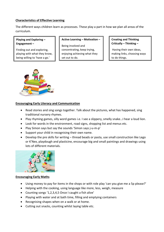#### **Characteristics of Effective Learning**

The different ways children learn as processes. These play a part in how we plan all areas of the curriculum.

**Playing and Exploring – Engagement –**

Finding out and exploring, playing with what they know, being willing to 'have a go.'

**Active Learning – Motivation –**

Being involved and concentrating, keep trying, enjoying achieving what they set out to do.

**Creating and Thinking Critically – Thinking –**

Having their own ideas, making links, choosing ways to do things.



#### **Encouraging Early Literacy and Communication**

- Read stories and sing songs together. Talk about the pictures, what has happened, sing traditional nursery rhymes.
- Play rhyming games, silly word games i.e. I see a slippery, smelly snake…I hear a loud lion.
- Look for words in the environment, road signs, shopping list and menus etc.
- Play Simon says but say the sounds 'Simon says j-u-m-p'
- Support your child in recognising their own name.
- Develop the pre skills for writing thread beads or pasta, use small construction like Lego or K'Nex, playdough and plasticine, encourage big and small paintings and drawings using lots of different materials.



#### **Encouraging Early Maths**

- Using money to pay for items in the shops or with role play 'can you give me a 5p please?'
- Helping with the cooking, using language like more, less, weigh, measure
- Counting songs '1,2,3,4,5 Once I caught a fish alive'
- Playing with water and at bath time, filling and emptying containers
- Recognising shapes when on a walk or at home.
- Cutting out snacks, counting whilst laying table etc.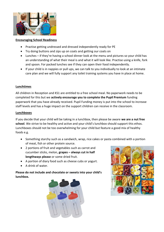

#### **Encouraging School Readiness**

- Practise getting undressed and dressed independently ready for PE
- Try doing buttons and zips up on coats and getting our coats on
- Lunches if they're having a school dinner look at the menu and pictures so your child has an understanding of what their meal is and what it will look like. Practise using a knife, fork and spoon. For packed lunches see if they can open their food independently.
- If your child is in nappies or pull ups, we can talk to you individually to look at an intimate care plan and we will fully support any toilet training systems you have in place at home.

# **Lunchtimes**

All children in Reception and KS1 are entitled to a free school meal. No paperwork needs to be completed for this but we **actively encourage you to complete the Pupil Premium** funding paperwork that you have already received. Pupil Funding money is put into the school to increase staff levels and has a huge impact on the support children can receive in the classroom.

# **Lunchboxes**

If you decide that your child will be taking in a lunchbox, then please be aware **we are a nut free school**. We strive to be healthy and active and your child's lunchbox should support this ethos. Lunchboxes should not be too overwhelming for your child but feature a good mix of healthy foods e.g.

- Something starchy such as a sandwich, wrap, rice cakes or pasta combined with a portion of meat, fish or other protein source.
- 2 portions of fruit and vegetables such as carrot and cucumber sticks, melon, **grapes – always cut in half lengthways please** or some dried fruit.
- A portion of diary food such as cheese cubs or yogurt.
- A drink of water.

**Please do not include and chocolate or sweets into your child's lunchbox.**



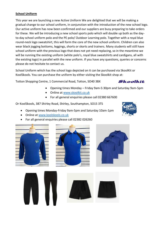#### **School Uniform**

This year we are launching a new Active Uniform We are delighted that we will be making a gradual change to our school uniform, in conjunction with the introduction of the new school logo. Our active uniform has now been confirmed and our suppliers are busy preparing to take orders for these. We will be introducing a new school sports polo which will double up both as the dayto-day school uniform polo and the PE polo/ Outdoor Learning polo. Together with a royal blue round-neck logo sweatshirt, this will form the core of the new school uniform. Children can also wear black jogging bottoms, leggings, shorts or skorts and trainers. Many students will still have school uniform with the previous logo that does not yet need replacing, so in the meantime we will be running the existing uniform (white polo's, royal blue sweatshirts and cardigans, all with the existing logo) in parallel with the new uniform. If you have any questions, queries or concerns please do not hesitate to contact us.

School Uniform which has the school logo depicted on it can be purchased via SkoolKit or KoolSkools. You can purchase the uniform by either visiting the Skoolkit shop at:

Totton Shopping Centre, 1 Commercial Road, Totton, SO40 3BX



- Opening times Monday Friday 9am-5:30pm and Saturday 9am-5pm
- Online at [www.skoolkit.co.uk](http://www.skoolkit.co.uk/)
- For all general enquiries please call 02380 667600

Or KoolSkools, 387 Shirley Road, Shirley, Southampton, SO15 3TS

- Opening times Monday-Friday 9am-5pm and Saturday 10am-1pm
- Online at [www.koolskools.co.uk](http://www.koolskools.co.uk/)
- For all general enquiries please call 02382 026260







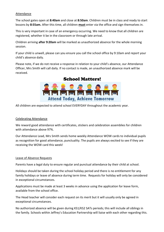#### Attendance

The school gates open at **8:40am** and close at **8:50am**. Children must be in class and ready to start lessons by **8:55am.** After this time, all children **must** enter via the office and sign themselves in.

This is very important in case of an emergency occurring. We need to know that all children are registered, whether it be in the classroom or through late arrival.

Children arriving **after 9:20am** will be marked as unauthorized absence for the whole morning session.

If your child is unwell, please can you ensure you call the school office by 9:10am and report your child's absence daily.

Please note, if we do not receive a response in relation to your child's absence, our Attendance Officer, Mrs Smith will call daily. If no contact is made, an unauthorized absence mark will be received.

**School Matters!** 



All children are expected to attend school EVERYDAY throughout the academic year.

#### Celebrating Attendance

We reward good attendance with certificates, stickers and celebration assemblies for children with attendance above 97%.

Our Attendance Lead, Mrs Smith sends home weekly Attendance WOW cards to individual pupils as recognition for good attendance, punctuality. The pupils are always excited to see if they are receiving the WOW card this week!

#### Leave of Absence Requests

Parents have a legal duty to ensure regular and punctual attendance by their child at school.

Holidays should be taken during the school holiday period and there is no entitlement for any family holidays or leave of absence during term time. Requests for holiday will only be considered in exceptional circumstances.

Applications must be made at least 3 weeks in advance using the application for leave form, available from the school office.

The Head teacher will consider each request on its merit but it will usually only be agreed in exceptional circumstances.

No authorized absence will be given during KS1/KS2 SATs periods; this will include all siblings in the family. Schools within Jeffrey's Education Partnership will liaise with each other regarding this.